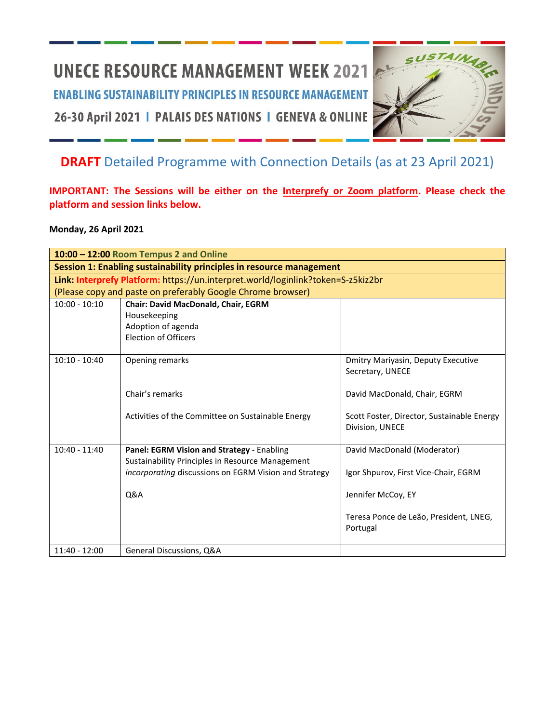# **UNECE RESOURCE MANAGEMENT WEEK 2021**

**ENABLING SUSTAINABILITY PRINCIPLES IN RESOURCE MANAGEMENT** 

26-30 April 2021 | PALAIS DES NATIONS | GENEVA & ONLINE

## **DRAFT** Detailed Programme with Connection Details (as at 23 April 2021)

**IMPORTANT: The Sessions will be either on the Interprefy or Zoom platform. Please check the platform and session links below.**

**Monday, 26 April 2021**

|                                                                      | 10:00 - 12:00 Room Tempus 2 and Online                                           |                                                               |
|----------------------------------------------------------------------|----------------------------------------------------------------------------------|---------------------------------------------------------------|
| Session 1: Enabling sustainability principles in resource management |                                                                                  |                                                               |
|                                                                      | Link: Interprefy Platform: https://un.interpret.world/loginlink?token=S-z5kiz2br |                                                               |
|                                                                      | (Please copy and paste on preferably Google Chrome browser)                      |                                                               |
| $10:00 - 10:10$                                                      | Chair: David MacDonald, Chair, EGRM                                              |                                                               |
|                                                                      | Housekeeping                                                                     |                                                               |
|                                                                      | Adoption of agenda                                                               |                                                               |
|                                                                      | <b>Election of Officers</b>                                                      |                                                               |
|                                                                      |                                                                                  |                                                               |
| $10:10 - 10:40$                                                      | Opening remarks                                                                  | Dmitry Mariyasin, Deputy Executive                            |
|                                                                      |                                                                                  | Secretary, UNECE                                              |
|                                                                      |                                                                                  |                                                               |
|                                                                      | Chair's remarks                                                                  | David MacDonald, Chair, EGRM                                  |
|                                                                      |                                                                                  |                                                               |
|                                                                      | Activities of the Committee on Sustainable Energy                                | Scott Foster, Director, Sustainable Energy<br>Division, UNECE |
|                                                                      |                                                                                  |                                                               |
| $10:40 - 11:40$                                                      | Panel: EGRM Vision and Strategy - Enabling                                       | David MacDonald (Moderator)                                   |
|                                                                      | Sustainability Principles in Resource Management                                 |                                                               |
|                                                                      | incorporating discussions on EGRM Vision and Strategy                            | Igor Shpurov, First Vice-Chair, EGRM                          |
|                                                                      |                                                                                  |                                                               |
|                                                                      | <b>Q&amp;A</b>                                                                   | Jennifer McCoy, EY                                            |
|                                                                      |                                                                                  |                                                               |
|                                                                      |                                                                                  | Teresa Ponce de Leão, President, LNEG,                        |
|                                                                      |                                                                                  | Portugal                                                      |
|                                                                      |                                                                                  |                                                               |
| $11:40 - 12:00$                                                      | General Discussions, Q&A                                                         |                                                               |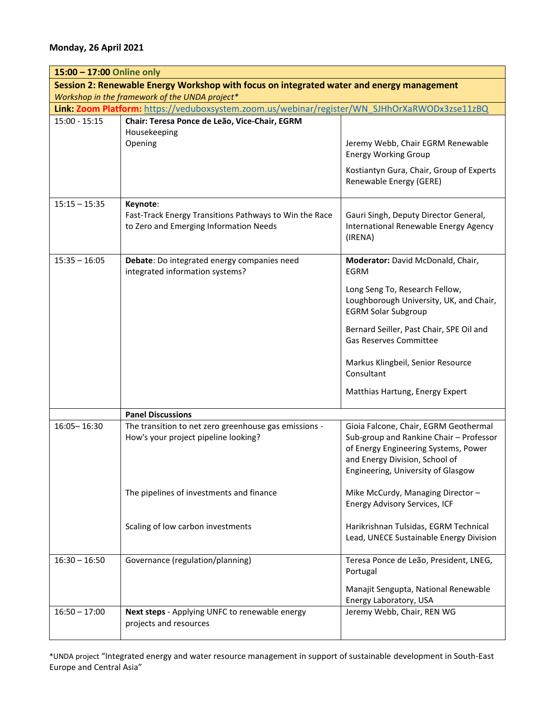| 15:00 - 17:00 Online only                                                                 |                                                                                                  |                                                                                                                                                                                                  |  |
|-------------------------------------------------------------------------------------------|--------------------------------------------------------------------------------------------------|--------------------------------------------------------------------------------------------------------------------------------------------------------------------------------------------------|--|
| Session 2: Renewable Energy Workshop with focus on integrated water and energy management |                                                                                                  |                                                                                                                                                                                                  |  |
| Workshop in the framework of the UNDA project*                                            |                                                                                                  |                                                                                                                                                                                                  |  |
|                                                                                           | Link: Zoom Platform: https://veduboxsystem.zoom.us/webinar/register/WN SJHhOrXaRWODx3zse11zBQ    |                                                                                                                                                                                                  |  |
| $15:00 - 15:15$                                                                           | Chair: Teresa Ponce de Leão, Vice-Chair, EGRM                                                    |                                                                                                                                                                                                  |  |
|                                                                                           | Housekeeping<br>Opening                                                                          | Jeremy Webb, Chair EGRM Renewable<br><b>Energy Working Group</b>                                                                                                                                 |  |
|                                                                                           |                                                                                                  | Kostiantyn Gura, Chair, Group of Experts<br>Renewable Energy (GERE)                                                                                                                              |  |
| $15:15 - 15:35$                                                                           | Keynote:                                                                                         |                                                                                                                                                                                                  |  |
|                                                                                           | Fast-Track Energy Transitions Pathways to Win the Race<br>to Zero and Emerging Information Needs | Gauri Singh, Deputy Director General,<br>International Renewable Energy Agency<br>(IRENA)                                                                                                        |  |
| $15:35 - 16:05$                                                                           | Debate: Do integrated energy companies need<br>integrated information systems?                   | Moderator: David McDonald, Chair,<br><b>EGRM</b>                                                                                                                                                 |  |
|                                                                                           |                                                                                                  | Long Seng To, Research Fellow,<br>Loughborough University, UK, and Chair,<br><b>EGRM Solar Subgroup</b>                                                                                          |  |
|                                                                                           |                                                                                                  | Bernard Seiller, Past Chair, SPE Oil and<br>Gas Reserves Committee                                                                                                                               |  |
|                                                                                           |                                                                                                  | Markus Klingbeil, Senior Resource<br>Consultant                                                                                                                                                  |  |
|                                                                                           |                                                                                                  | Matthias Hartung, Energy Expert                                                                                                                                                                  |  |
|                                                                                           | <b>Panel Discussions</b>                                                                         |                                                                                                                                                                                                  |  |
| 16:05-16:30                                                                               | The transition to net zero greenhouse gas emissions -<br>How's your project pipeline looking?    | Gioia Falcone, Chair, EGRM Geothermal<br>Sub-group and Rankine Chair - Professor<br>of Energy Engineering Systems, Power<br>and Energy Division, School of<br>Engineering, University of Glasgow |  |
|                                                                                           | The pipelines of investments and finance                                                         | Mike McCurdy, Managing Director-<br><b>Energy Advisory Services, ICF</b>                                                                                                                         |  |
|                                                                                           | Scaling of low carbon investments                                                                | Harikrishnan Tulsidas, EGRM Technical<br>Lead, UNECE Sustainable Energy Division                                                                                                                 |  |
| $16:30 - 16:50$                                                                           | Governance (regulation/planning)                                                                 | Teresa Ponce de Leão, President, LNEG,<br>Portugal                                                                                                                                               |  |
|                                                                                           |                                                                                                  | Manajit Sengupta, National Renewable<br>Energy Laboratory, USA                                                                                                                                   |  |
| $16:50 - 17:00$                                                                           | Next steps - Applying UNFC to renewable energy<br>projects and resources                         | Jeremy Webb, Chair, REN WG                                                                                                                                                                       |  |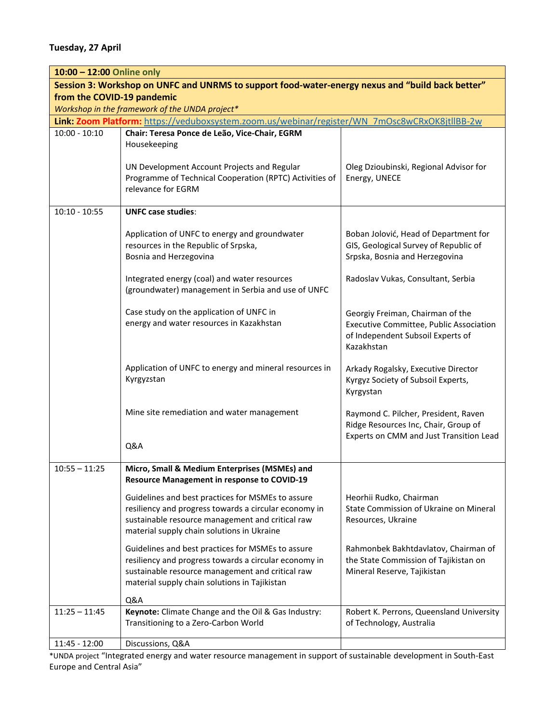**Tuesday, 27 April**

| 10:00 - 12:00 Online only                                                                        |                                                                                                                                                                                                                 |                                                                                                                                |  |  |
|--------------------------------------------------------------------------------------------------|-----------------------------------------------------------------------------------------------------------------------------------------------------------------------------------------------------------------|--------------------------------------------------------------------------------------------------------------------------------|--|--|
| Session 3: Workshop on UNFC and UNRMS to support food-water-energy nexus and "build back better" |                                                                                                                                                                                                                 |                                                                                                                                |  |  |
| from the COVID-19 pandemic                                                                       |                                                                                                                                                                                                                 |                                                                                                                                |  |  |
| Workshop in the framework of the UNDA project*                                                   |                                                                                                                                                                                                                 |                                                                                                                                |  |  |
|                                                                                                  | Link: Zoom Platform: https://veduboxsystem.zoom.us/webinar/register/WN_7mOsc8wCRxOK8jtllBB-2w                                                                                                                   |                                                                                                                                |  |  |
| $10:00 - 10:10$                                                                                  | Chair: Teresa Ponce de Leão, Vice-Chair, EGRM                                                                                                                                                                   |                                                                                                                                |  |  |
|                                                                                                  | Housekeeping                                                                                                                                                                                                    |                                                                                                                                |  |  |
|                                                                                                  | UN Development Account Projects and Regular<br>Programme of Technical Cooperation (RPTC) Activities of<br>relevance for EGRM                                                                                    | Oleg Dzioubinski, Regional Advisor for<br>Energy, UNECE                                                                        |  |  |
| $10:10 - 10:55$                                                                                  | <b>UNFC case studies:</b>                                                                                                                                                                                       |                                                                                                                                |  |  |
|                                                                                                  | Application of UNFC to energy and groundwater<br>resources in the Republic of Srpska,<br>Bosnia and Herzegovina                                                                                                 | Boban Jolović, Head of Department for<br>GIS, Geological Survey of Republic of<br>Srpska, Bosnia and Herzegovina               |  |  |
|                                                                                                  | Integrated energy (coal) and water resources<br>(groundwater) management in Serbia and use of UNFC                                                                                                              | Radoslav Vukas, Consultant, Serbia                                                                                             |  |  |
|                                                                                                  | Case study on the application of UNFC in<br>energy and water resources in Kazakhstan                                                                                                                            | Georgiy Freiman, Chairman of the<br>Executive Committee, Public Association<br>of Independent Subsoil Experts of<br>Kazakhstan |  |  |
|                                                                                                  | Application of UNFC to energy and mineral resources in<br>Kyrgyzstan                                                                                                                                            | Arkady Rogalsky, Executive Director<br>Kyrgyz Society of Subsoil Experts,<br>Kyrgystan                                         |  |  |
|                                                                                                  | Mine site remediation and water management<br>Q&A                                                                                                                                                               | Raymond C. Pilcher, President, Raven<br>Ridge Resources Inc, Chair, Group of<br>Experts on CMM and Just Transition Lead        |  |  |
|                                                                                                  |                                                                                                                                                                                                                 |                                                                                                                                |  |  |
| $10:55 - 11:25$                                                                                  | Micro, Small & Medium Enterprises (MSMEs) and<br><b>Resource Management in response to COVID-19</b>                                                                                                             |                                                                                                                                |  |  |
|                                                                                                  | Guidelines and best practices for MSMEs to assure<br>resiliency and progress towards a circular economy in<br>sustainable resource management and critical raw<br>material supply chain solutions in Ukraine    | Heorhii Rudko, Chairman<br>State Commission of Ukraine on Mineral<br>Resources, Ukraine                                        |  |  |
|                                                                                                  | Guidelines and best practices for MSMEs to assure<br>resiliency and progress towards a circular economy in<br>sustainable resource management and critical raw<br>material supply chain solutions in Tajikistan | Rahmonbek Bakhtdavlatov, Chairman of<br>the State Commission of Tajikistan on<br>Mineral Reserve, Tajikistan                   |  |  |
|                                                                                                  | Q&A                                                                                                                                                                                                             |                                                                                                                                |  |  |
| $11:25 - 11:45$                                                                                  | Keynote: Climate Change and the Oil & Gas Industry:<br>Transitioning to a Zero-Carbon World                                                                                                                     | Robert K. Perrons, Queensland University<br>of Technology, Australia                                                           |  |  |
| 11:45 - 12:00                                                                                    | Discussions, Q&A                                                                                                                                                                                                |                                                                                                                                |  |  |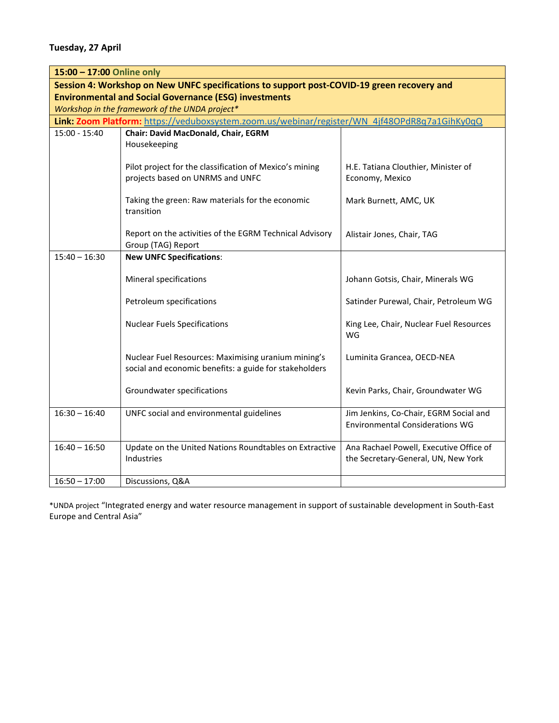**Tuesday, 27 April**

| 15:00 - 17:00 Online only                                                                  |                                                                                               |                                         |  |
|--------------------------------------------------------------------------------------------|-----------------------------------------------------------------------------------------------|-----------------------------------------|--|
| Session 4: Workshop on New UNFC specifications to support post-COVID-19 green recovery and |                                                                                               |                                         |  |
| <b>Environmental and Social Governance (ESG) investments</b>                               |                                                                                               |                                         |  |
| Workshop in the framework of the UNDA project*                                             |                                                                                               |                                         |  |
|                                                                                            | Link: Zoom Platform: https://veduboxsystem.zoom.us/webinar/register/WN 4jf48OPdR8q7a1GihKy0qQ |                                         |  |
| $15:00 - 15:40$                                                                            | Chair: David MacDonald, Chair, EGRM                                                           |                                         |  |
|                                                                                            | Housekeeping                                                                                  |                                         |  |
|                                                                                            | Pilot project for the classification of Mexico's mining                                       | H.E. Tatiana Clouthier, Minister of     |  |
|                                                                                            | projects based on UNRMS and UNFC                                                              | Economy, Mexico                         |  |
|                                                                                            |                                                                                               |                                         |  |
|                                                                                            | Taking the green: Raw materials for the economic                                              | Mark Burnett, AMC, UK                   |  |
|                                                                                            | transition                                                                                    |                                         |  |
|                                                                                            |                                                                                               |                                         |  |
|                                                                                            | Report on the activities of the EGRM Technical Advisory                                       | Alistair Jones, Chair, TAG              |  |
|                                                                                            | Group (TAG) Report                                                                            |                                         |  |
| $15:40 - 16:30$                                                                            | <b>New UNFC Specifications:</b>                                                               |                                         |  |
|                                                                                            | <b>Mineral specifications</b>                                                                 | Johann Gotsis, Chair, Minerals WG       |  |
|                                                                                            |                                                                                               |                                         |  |
|                                                                                            | Petroleum specifications                                                                      | Satinder Purewal, Chair, Petroleum WG   |  |
|                                                                                            |                                                                                               |                                         |  |
|                                                                                            | <b>Nuclear Fuels Specifications</b>                                                           | King Lee, Chair, Nuclear Fuel Resources |  |
|                                                                                            |                                                                                               | WG                                      |  |
|                                                                                            | Nuclear Fuel Resources: Maximising uranium mining's                                           | Luminita Grancea, OECD-NEA              |  |
|                                                                                            | social and economic benefits: a guide for stakeholders                                        |                                         |  |
|                                                                                            |                                                                                               |                                         |  |
|                                                                                            | Groundwater specifications                                                                    | Kevin Parks, Chair, Groundwater WG      |  |
| $16:30 - 16:40$                                                                            | UNFC social and environmental guidelines                                                      | Jim Jenkins, Co-Chair, EGRM Social and  |  |
|                                                                                            |                                                                                               | <b>Environmental Considerations WG</b>  |  |
|                                                                                            |                                                                                               |                                         |  |
| $16:40 - 16:50$                                                                            | Update on the United Nations Roundtables on Extractive                                        | Ana Rachael Powell, Executive Office of |  |
|                                                                                            | Industries                                                                                    | the Secretary-General, UN, New York     |  |
|                                                                                            |                                                                                               |                                         |  |
| $16:50 - 17:00$                                                                            | Discussions, Q&A                                                                              |                                         |  |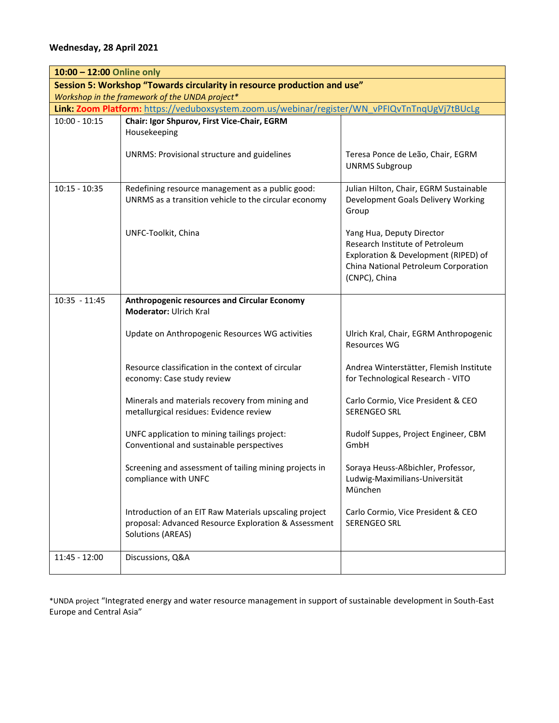#### **Wednesday, 28 April 2021**

| 10:00 - 12:00 Online only                                                |                                                                                                                                            |                                                                                                                                                               |  |
|--------------------------------------------------------------------------|--------------------------------------------------------------------------------------------------------------------------------------------|---------------------------------------------------------------------------------------------------------------------------------------------------------------|--|
| Session 5: Workshop "Towards circularity in resource production and use" |                                                                                                                                            |                                                                                                                                                               |  |
| Workshop in the framework of the UNDA project*                           |                                                                                                                                            |                                                                                                                                                               |  |
|                                                                          | Link: Zoom Platform: https://veduboxsystem.zoom.us/webinar/register/WN_vPFIQvTnTnqUgVj7tBUcLg                                              |                                                                                                                                                               |  |
| $10:00 - 10:15$                                                          | Chair: Igor Shpurov, First Vice-Chair, EGRM<br>Housekeeping                                                                                |                                                                                                                                                               |  |
|                                                                          | <b>UNRMS: Provisional structure and guidelines</b>                                                                                         | Teresa Ponce de Leão, Chair, EGRM<br><b>UNRMS Subgroup</b>                                                                                                    |  |
| $10:15 - 10:35$                                                          | Redefining resource management as a public good:<br>UNRMS as a transition vehicle to the circular economy                                  | Julian Hilton, Chair, EGRM Sustainable<br>Development Goals Delivery Working<br>Group                                                                         |  |
|                                                                          | UNFC-Toolkit, China                                                                                                                        | Yang Hua, Deputy Director<br>Research Institute of Petroleum<br>Exploration & Development (RIPED) of<br>China National Petroleum Corporation<br>(CNPC), China |  |
| 10:35 - 11:45                                                            | <b>Anthropogenic resources and Circular Economy</b><br>Moderator: Ulrich Kral                                                              |                                                                                                                                                               |  |
|                                                                          | Update on Anthropogenic Resources WG activities                                                                                            | Ulrich Kral, Chair, EGRM Anthropogenic<br><b>Resources WG</b>                                                                                                 |  |
|                                                                          | Resource classification in the context of circular<br>economy: Case study review                                                           | Andrea Winterstätter, Flemish Institute<br>for Technological Research - VITO                                                                                  |  |
|                                                                          | Minerals and materials recovery from mining and<br>metallurgical residues: Evidence review                                                 | Carlo Cormio, Vice President & CEO<br><b>SERENGEO SRL</b>                                                                                                     |  |
|                                                                          | UNFC application to mining tailings project:<br>Conventional and sustainable perspectives                                                  | Rudolf Suppes, Project Engineer, CBM<br>GmbH                                                                                                                  |  |
|                                                                          | Screening and assessment of tailing mining projects in<br>compliance with UNFC                                                             | Soraya Heuss-Aßbichler, Professor,<br>Ludwig-Maximilians-Universität<br>München                                                                               |  |
|                                                                          | Introduction of an EIT Raw Materials upscaling project<br>proposal: Advanced Resource Exploration & Assessment<br><b>Solutions (AREAS)</b> | Carlo Cormio, Vice President & CEO<br>SERENGEO SRL                                                                                                            |  |
| 11:45 - 12:00                                                            | Discussions, Q&A                                                                                                                           |                                                                                                                                                               |  |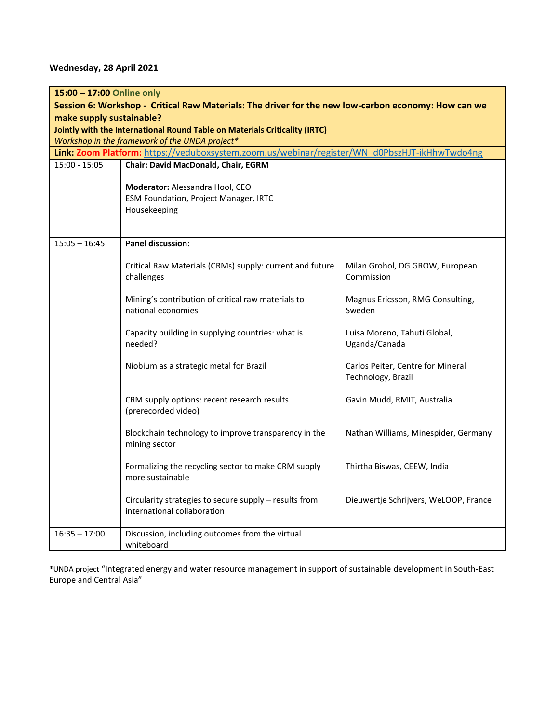#### **Wednesday, 28 April 2021**

| 15:00 - 17:00 Online only                      |                                                                                                     |                                                         |  |
|------------------------------------------------|-----------------------------------------------------------------------------------------------------|---------------------------------------------------------|--|
|                                                | Session 6: Workshop - Critical Raw Materials: The driver for the new low-carbon economy: How can we |                                                         |  |
| make supply sustainable?                       | Jointly with the International Round Table on Materials Criticality (IRTC)                          |                                                         |  |
| Workshop in the framework of the UNDA project* |                                                                                                     |                                                         |  |
|                                                | Link: Zoom Platform: https://veduboxsystem.zoom.us/webinar/register/WN_d0PbszHJT-ikHhwTwdo4ng       |                                                         |  |
| $15:00 - 15:05$                                | Chair: David MacDonald, Chair, EGRM                                                                 |                                                         |  |
|                                                | Moderator: Alessandra Hool, CEO<br>ESM Foundation, Project Manager, IRTC<br>Housekeeping            |                                                         |  |
| $15:05 - 16:45$                                | <b>Panel discussion:</b>                                                                            |                                                         |  |
|                                                | Critical Raw Materials (CRMs) supply: current and future<br>challenges                              | Milan Grohol, DG GROW, European<br>Commission           |  |
|                                                | Mining's contribution of critical raw materials to<br>national economies                            | Magnus Ericsson, RMG Consulting,<br>Sweden              |  |
|                                                | Capacity building in supplying countries: what is<br>needed?                                        | Luisa Moreno, Tahuti Global,<br>Uganda/Canada           |  |
|                                                | Niobium as a strategic metal for Brazil                                                             | Carlos Peiter, Centre for Mineral<br>Technology, Brazil |  |
|                                                | CRM supply options: recent research results<br>(prerecorded video)                                  | Gavin Mudd, RMIT, Australia                             |  |
|                                                | Blockchain technology to improve transparency in the<br>mining sector                               | Nathan Williams, Minespider, Germany                    |  |
|                                                | Formalizing the recycling sector to make CRM supply<br>more sustainable                             | Thirtha Biswas, CEEW, India                             |  |
|                                                | Circularity strategies to secure supply - results from<br>international collaboration               | Dieuwertje Schrijvers, WeLOOP, France                   |  |
| $16:35 - 17:00$                                | Discussion, including outcomes from the virtual<br>whiteboard                                       |                                                         |  |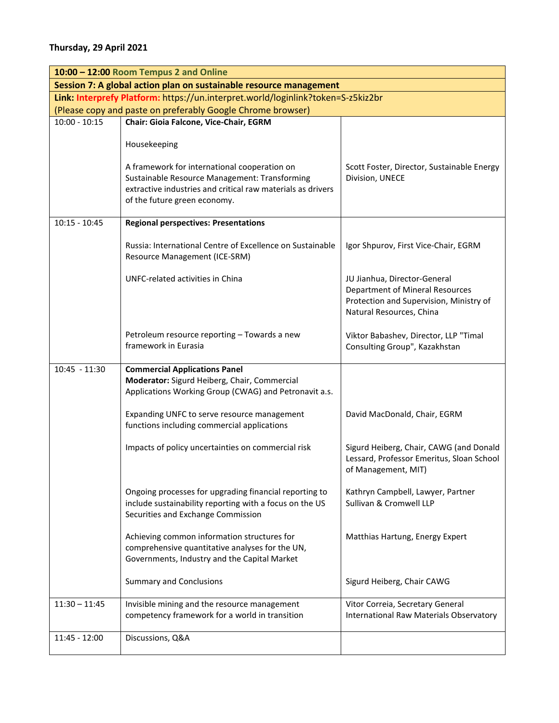|                 | 10:00 - 12:00 Room Tempus 2 and Online                                                                                                                                                       |                                                                                                                                        |
|-----------------|----------------------------------------------------------------------------------------------------------------------------------------------------------------------------------------------|----------------------------------------------------------------------------------------------------------------------------------------|
|                 | Session 7: A global action plan on sustainable resource management                                                                                                                           |                                                                                                                                        |
|                 | Link: Interprefy Platform: https://un.interpret.world/loginlink?token=S-z5kiz2br                                                                                                             |                                                                                                                                        |
|                 | (Please copy and paste on preferably Google Chrome browser)                                                                                                                                  |                                                                                                                                        |
| $10:00 - 10:15$ | Chair: Gioia Falcone, Vice-Chair, EGRM                                                                                                                                                       |                                                                                                                                        |
|                 | Housekeeping                                                                                                                                                                                 |                                                                                                                                        |
|                 | A framework for international cooperation on<br>Sustainable Resource Management: Transforming<br>extractive industries and critical raw materials as drivers<br>of the future green economy. | Scott Foster, Director, Sustainable Energy<br>Division, UNECE                                                                          |
| $10:15 - 10:45$ | <b>Regional perspectives: Presentations</b>                                                                                                                                                  |                                                                                                                                        |
|                 | Russia: International Centre of Excellence on Sustainable<br>Resource Management (ICE-SRM)                                                                                                   | Igor Shpurov, First Vice-Chair, EGRM                                                                                                   |
|                 | UNFC-related activities in China                                                                                                                                                             | JU Jianhua, Director-General<br>Department of Mineral Resources<br>Protection and Supervision, Ministry of<br>Natural Resources, China |
|                 | Petroleum resource reporting - Towards a new<br>framework in Eurasia                                                                                                                         | Viktor Babashev, Director, LLP "Timal<br>Consulting Group", Kazakhstan                                                                 |
| 10:45 - 11:30   | <b>Commercial Applications Panel</b><br>Moderator: Sigurd Heiberg, Chair, Commercial<br>Applications Working Group (CWAG) and Petronavit a.s.                                                |                                                                                                                                        |
|                 | Expanding UNFC to serve resource management<br>functions including commercial applications                                                                                                   | David MacDonald, Chair, EGRM                                                                                                           |
|                 | Impacts of policy uncertainties on commercial risk                                                                                                                                           | Sigurd Heiberg, Chair, CAWG (and Donald<br>Lessard, Professor Emeritus, Sloan School<br>of Management, MIT)                            |
|                 | Ongoing processes for upgrading financial reporting to<br>include sustainability reporting with a focus on the US<br>Securities and Exchange Commission                                      | Kathryn Campbell, Lawyer, Partner<br>Sullivan & Cromwell LLP                                                                           |
|                 | Achieving common information structures for<br>comprehensive quantitative analyses for the UN,<br>Governments, Industry and the Capital Market                                               | Matthias Hartung, Energy Expert                                                                                                        |
|                 | <b>Summary and Conclusions</b>                                                                                                                                                               | Sigurd Heiberg, Chair CAWG                                                                                                             |
| $11:30 - 11:45$ | Invisible mining and the resource management<br>competency framework for a world in transition                                                                                               | Vitor Correia, Secretary General<br>International Raw Materials Observatory                                                            |
| 11:45 - 12:00   | Discussions, Q&A                                                                                                                                                                             |                                                                                                                                        |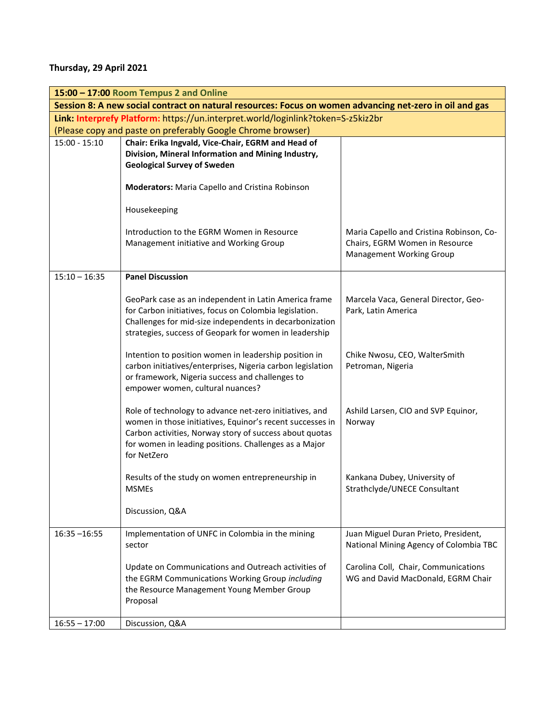### **Thursday, 29 April 2021**

|                                                                                                         | 15:00 - 17:00 Room Tempus 2 and Online                                                                                                                                                                                                                  |                                                                                                               |
|---------------------------------------------------------------------------------------------------------|---------------------------------------------------------------------------------------------------------------------------------------------------------------------------------------------------------------------------------------------------------|---------------------------------------------------------------------------------------------------------------|
| Session 8: A new social contract on natural resources: Focus on women advancing net-zero in oil and gas |                                                                                                                                                                                                                                                         |                                                                                                               |
| Link: Interprefy Platform: https://un.interpret.world/loginlink?token=S-z5kiz2br                        |                                                                                                                                                                                                                                                         |                                                                                                               |
| (Please copy and paste on preferably Google Chrome browser)                                             |                                                                                                                                                                                                                                                         |                                                                                                               |
| $15:00 - 15:10$                                                                                         | Chair: Erika Ingvald, Vice-Chair, EGRM and Head of<br>Division, Mineral Information and Mining Industry,<br><b>Geological Survey of Sweden</b>                                                                                                          |                                                                                                               |
|                                                                                                         | Moderators: Maria Capello and Cristina Robinson                                                                                                                                                                                                         |                                                                                                               |
|                                                                                                         | Housekeeping                                                                                                                                                                                                                                            |                                                                                                               |
|                                                                                                         | Introduction to the EGRM Women in Resource<br>Management initiative and Working Group                                                                                                                                                                   | Maria Capello and Cristina Robinson, Co-<br>Chairs, EGRM Women in Resource<br><b>Management Working Group</b> |
| $15:10 - 16:35$                                                                                         | <b>Panel Discussion</b>                                                                                                                                                                                                                                 |                                                                                                               |
|                                                                                                         | GeoPark case as an independent in Latin America frame<br>for Carbon initiatives, focus on Colombia legislation.<br>Challenges for mid-size independents in decarbonization<br>strategies, success of Geopark for women in leadership                    | Marcela Vaca, General Director, Geo-<br>Park, Latin America                                                   |
|                                                                                                         | Intention to position women in leadership position in<br>carbon initiatives/enterprises, Nigeria carbon legislation<br>or framework, Nigeria success and challenges to<br>empower women, cultural nuances?                                              | Chike Nwosu, CEO, WalterSmith<br>Petroman, Nigeria                                                            |
|                                                                                                         | Role of technology to advance net-zero initiatives, and<br>women in those initiatives, Equinor's recent successes in<br>Carbon activities, Norway story of success about quotas<br>for women in leading positions. Challenges as a Major<br>for NetZero | Ashild Larsen, CIO and SVP Equinor,<br>Norway                                                                 |
|                                                                                                         | Results of the study on women entrepreneurship in<br><b>MSMEs</b>                                                                                                                                                                                       | Kankana Dubey, University of<br>Strathclyde/UNECE Consultant                                                  |
|                                                                                                         | Discussion, Q&A                                                                                                                                                                                                                                         |                                                                                                               |
| $16:35 - 16:55$                                                                                         | Implementation of UNFC in Colombia in the mining<br>sector                                                                                                                                                                                              | Juan Miguel Duran Prieto, President,<br>National Mining Agency of Colombia TBC                                |
|                                                                                                         | Update on Communications and Outreach activities of<br>the EGRM Communications Working Group including<br>the Resource Management Young Member Group<br>Proposal                                                                                        | Carolina Coll, Chair, Communications<br>WG and David MacDonald, EGRM Chair                                    |
| $16:55 - 17:00$                                                                                         | Discussion, Q&A                                                                                                                                                                                                                                         |                                                                                                               |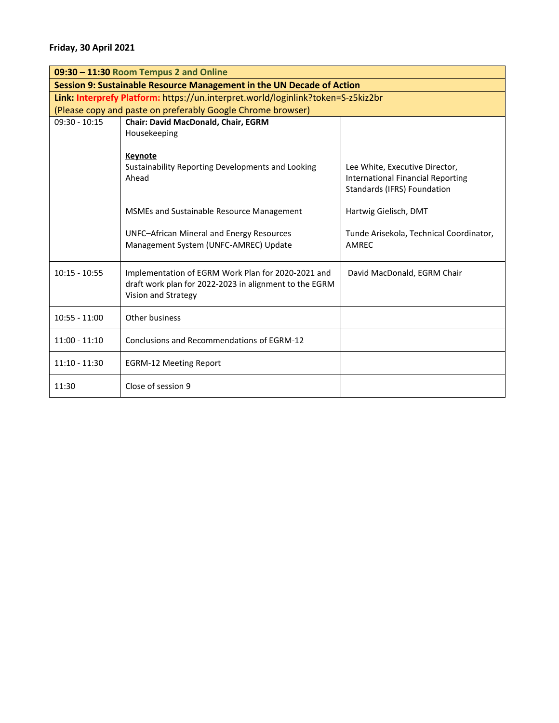| 09:30 - 11:30 Room Tempus 2 and Online                                           |                                                                                                                                     |                                                                                                           |
|----------------------------------------------------------------------------------|-------------------------------------------------------------------------------------------------------------------------------------|-----------------------------------------------------------------------------------------------------------|
| Session 9: Sustainable Resource Management in the UN Decade of Action            |                                                                                                                                     |                                                                                                           |
| Link: Interprefy Platform: https://un.interpret.world/loginlink?token=S-z5kiz2br |                                                                                                                                     |                                                                                                           |
| (Please copy and paste on preferably Google Chrome browser)                      |                                                                                                                                     |                                                                                                           |
| $09:30 - 10:15$                                                                  | Chair: David MacDonald, Chair, EGRM<br>Housekeeping                                                                                 |                                                                                                           |
|                                                                                  | Keynote<br>Sustainability Reporting Developments and Looking<br>Ahead                                                               | Lee White, Executive Director,<br><b>International Financial Reporting</b><br>Standards (IFRS) Foundation |
|                                                                                  | <b>MSMEs and Sustainable Resource Management</b>                                                                                    | Hartwig Gielisch, DMT                                                                                     |
|                                                                                  | <b>UNFC-African Mineral and Energy Resources</b><br>Management System (UNFC-AMREC) Update                                           | Tunde Arisekola, Technical Coordinator,<br>AMREC                                                          |
| $10:15 - 10:55$                                                                  | Implementation of EGRM Work Plan for 2020-2021 and<br>draft work plan for 2022-2023 in alignment to the EGRM<br>Vision and Strategy | David MacDonald, EGRM Chair                                                                               |
| $10:55 - 11:00$                                                                  | Other business                                                                                                                      |                                                                                                           |
| $11:00 - 11:10$                                                                  | Conclusions and Recommendations of EGRM-12                                                                                          |                                                                                                           |
| $11:10 - 11:30$                                                                  | <b>EGRM-12 Meeting Report</b>                                                                                                       |                                                                                                           |
| 11:30                                                                            | Close of session 9                                                                                                                  |                                                                                                           |